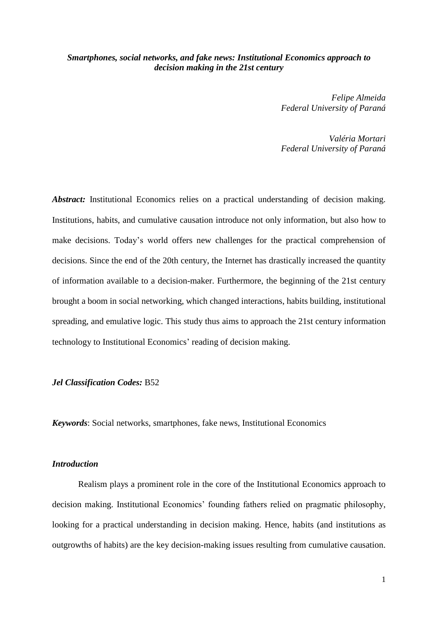# *Smartphones, social networks, and fake news: Institutional Economics approach to decision making in the 21st century*

*Felipe Almeida Federal University of Paraná*

*Valéria Mortari Federal University of Paraná*

*Abstract:* Institutional Economics relies on a practical understanding of decision making. Institutions, habits, and cumulative causation introduce not only information, but also how to make decisions. Today's world offers new challenges for the practical comprehension of decisions. Since the end of the 20th century, the Internet has drastically increased the quantity of information available to a decision-maker. Furthermore, the beginning of the 21st century brought a boom in social networking, which changed interactions, habits building, institutional spreading, and emulative logic. This study thus aims to approach the 21st century information technology to Institutional Economics' reading of decision making.

## *Jel Classification Codes:* B52

*Keywords*: Social networks, smartphones, fake news, Institutional Economics

## *Introduction*

Realism plays a prominent role in the core of the Institutional Economics approach to decision making. Institutional Economics' founding fathers relied on pragmatic philosophy, looking for a practical understanding in decision making. Hence, habits (and institutions as outgrowths of habits) are the key decision-making issues resulting from cumulative causation.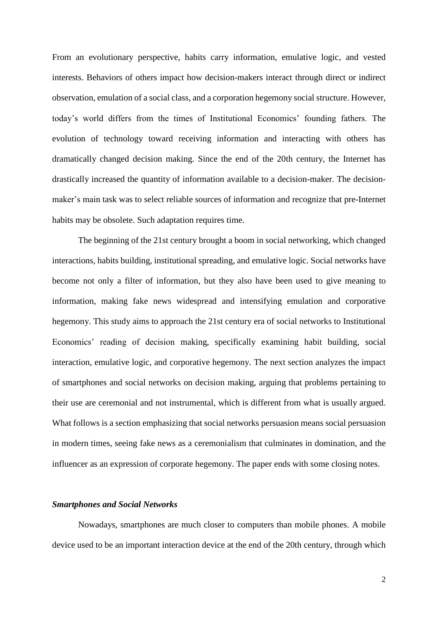From an evolutionary perspective, habits carry information, emulative logic, and vested interests. Behaviors of others impact how decision-makers interact through direct or indirect observation, emulation of a social class, and a corporation hegemony social structure. However, today's world differs from the times of Institutional Economics' founding fathers. The evolution of technology toward receiving information and interacting with others has dramatically changed decision making. Since the end of the 20th century, the Internet has drastically increased the quantity of information available to a decision-maker. The decisionmaker's main task was to select reliable sources of information and recognize that pre-Internet habits may be obsolete. Such adaptation requires time.

The beginning of the 21st century brought a boom in social networking, which changed interactions, habits building, institutional spreading, and emulative logic. Social networks have become not only a filter of information, but they also have been used to give meaning to information, making fake news widespread and intensifying emulation and corporative hegemony. This study aims to approach the 21st century era of social networks to Institutional Economics' reading of decision making, specifically examining habit building, social interaction, emulative logic, and corporative hegemony. The next section analyzes the impact of smartphones and social networks on decision making, arguing that problems pertaining to their use are ceremonial and not instrumental, which is different from what is usually argued. What follows is a section emphasizing that social networks persuasion means social persuasion in modern times, seeing fake news as a ceremonialism that culminates in domination, and the influencer as an expression of corporate hegemony. The paper ends with some closing notes.

#### *Smartphones and Social Networks*

Nowadays, smartphones are much closer to computers than mobile phones. A mobile device used to be an important interaction device at the end of the 20th century, through which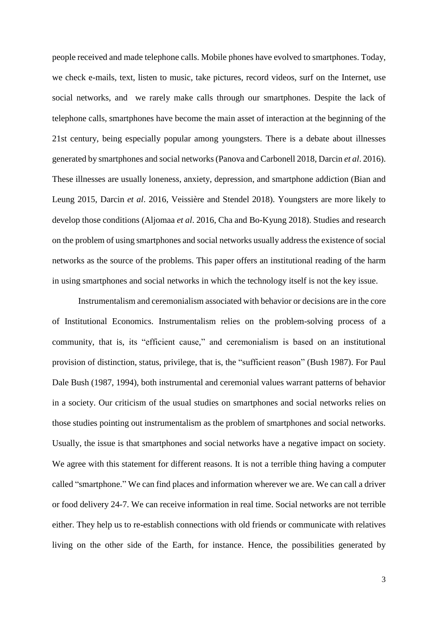people received and made telephone calls. Mobile phones have evolved to smartphones. Today, we check e-mails, text, listen to music, take pictures, record videos, surf on the Internet, use social networks, and we rarely make calls through our smartphones. Despite the lack of telephone calls, smartphones have become the main asset of interaction at the beginning of the 21st century, being especially popular among youngsters. There is a debate about illnesses generated by smartphones and social networks(Panova and Carbonell 2018, Darcin *et al*. 2016). These illnesses are usually loneness, anxiety, depression, and smartphone addiction (Bian and Leung 2015, Darcin *et al*. 2016, Veissière and Stendel 2018). Youngsters are more likely to develop those conditions (Aljomaa *et al*. 2016, Cha and Bo-Kyung 2018). Studies and research on the problem of using smartphones and social networks usually address the existence of social networks as the source of the problems. This paper offers an institutional reading of the harm in using smartphones and social networks in which the technology itself is not the key issue.

Instrumentalism and ceremonialism associated with behavior or decisions are in the core of Institutional Economics. Instrumentalism relies on the problem-solving process of a community, that is, its "efficient cause," and ceremonialism is based on an institutional provision of distinction, status, privilege, that is, the "sufficient reason" (Bush 1987). For Paul Dale Bush (1987, 1994), both instrumental and ceremonial values warrant patterns of behavior in a society. Our criticism of the usual studies on smartphones and social networks relies on those studies pointing out instrumentalism as the problem of smartphones and social networks. Usually, the issue is that smartphones and social networks have a negative impact on society. We agree with this statement for different reasons. It is not a terrible thing having a computer called "smartphone." We can find places and information wherever we are. We can call a driver or food delivery 24-7. We can receive information in real time. Social networks are not terrible either. They help us to re-establish connections with old friends or communicate with relatives living on the other side of the Earth, for instance. Hence, the possibilities generated by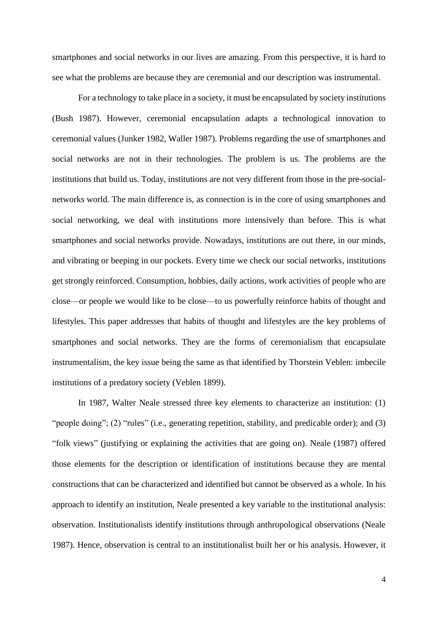smartphones and social networks in our lives are amazing. From this perspective, it is hard to see what the problems are because they are ceremonial and our description was instrumental.

For a technology to take place in a society, it must be encapsulated by society institutions (Bush 1987). However, ceremonial encapsulation adapts a technological innovation to ceremonial values (Junker 1982, Waller 1987). Problems regarding the use of smartphones and social networks are not in their technologies. The problem is us. The problems are the institutions that build us. Today, institutions are not very different from those in the pre-socialnetworks world. The main difference is, as connection is in the core of using smartphones and social networking, we deal with institutions more intensively than before. This is what smartphones and social networks provide. Nowadays, institutions are out there, in our minds, and vibrating or beeping in our pockets. Every time we check our social networks, institutions get strongly reinforced. Consumption, hobbies, daily actions, work activities of people who are close—or people we would like to be close—to us powerfully reinforce habits of thought and lifestyles. This paper addresses that habits of thought and lifestyles are the key problems of smartphones and social networks. They are the forms of ceremonialism that encapsulate instrumentalism, the key issue being the same as that identified by Thorstein Veblen: imbecile institutions of a predatory society (Veblen 1899).

In 1987, Walter Neale stressed three key elements to characterize an institution: (1) "people doing"; (2) "rules" (i.e., generating repetition, stability, and predicable order); and (3) "folk views" (justifying or explaining the activities that are going on). Neale (1987) offered those elements for the description or identification of institutions because they are mental constructions that can be characterized and identified but cannot be observed as a whole. In his approach to identify an institution, Neale presented a key variable to the institutional analysis: observation. Institutionalists identify institutions through anthropological observations (Neale 1987). Hence, observation is central to an institutionalist built her or his analysis. However, it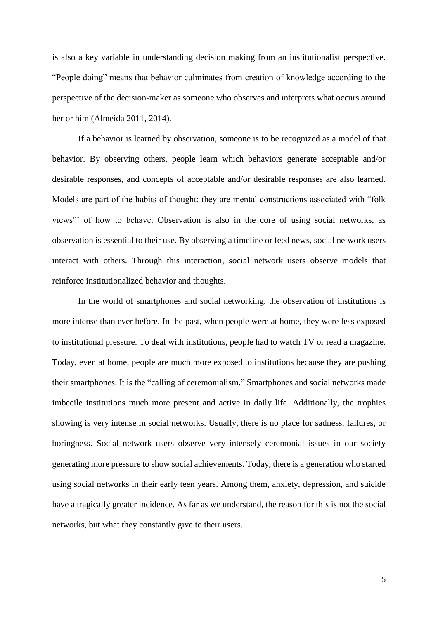is also a key variable in understanding decision making from an institutionalist perspective. "People doing" means that behavior culminates from creation of knowledge according to the perspective of the decision-maker as someone who observes and interprets what occurs around her or him (Almeida 2011, 2014).

If a behavior is learned by observation, someone is to be recognized as a model of that behavior. By observing others, people learn which behaviors generate acceptable and/or desirable responses, and concepts of acceptable and/or desirable responses are also learned. Models are part of the habits of thought; they are mental constructions associated with "folk views"' of how to behave. Observation is also in the core of using social networks, as observation is essential to their use. By observing a timeline or feed news, social network users interact with others. Through this interaction, social network users observe models that reinforce institutionalized behavior and thoughts.

In the world of smartphones and social networking, the observation of institutions is more intense than ever before. In the past, when people were at home, they were less exposed to institutional pressure. To deal with institutions, people had to watch TV or read a magazine. Today, even at home, people are much more exposed to institutions because they are pushing their smartphones. It is the "calling of ceremonialism." Smartphones and social networks made imbecile institutions much more present and active in daily life. Additionally, the trophies showing is very intense in social networks. Usually, there is no place for sadness, failures, or boringness. Social network users observe very intensely ceremonial issues in our society generating more pressure to show social achievements. Today, there is a generation who started using social networks in their early teen years. Among them, anxiety, depression, and suicide have a tragically greater incidence. As far as we understand, the reason for this is not the social networks, but what they constantly give to their users.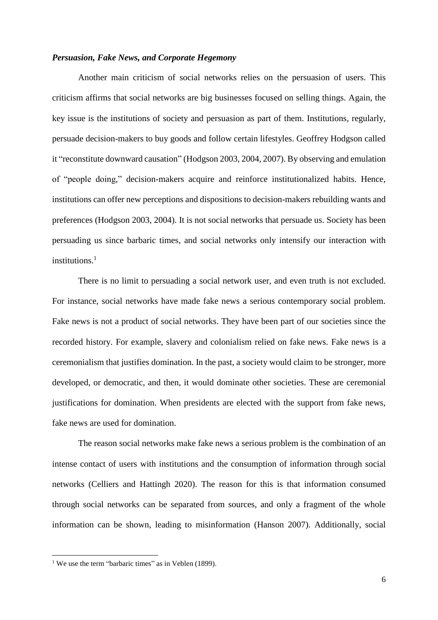### *Persuasion, Fake News, and Corporate Hegemony*

Another main criticism of social networks relies on the persuasion of users. This criticism affirms that social networks are big businesses focused on selling things. Again, the key issue is the institutions of society and persuasion as part of them. Institutions, regularly, persuade decision-makers to buy goods and follow certain lifestyles. Geoffrey Hodgson called it "reconstitute downward causation" (Hodgson 2003, 2004, 2007). By observing and emulation of "people doing," decision-makers acquire and reinforce institutionalized habits. Hence, institutions can offer new perceptions and dispositions to decision-makers rebuilding wants and preferences (Hodgson 2003, 2004). It is not social networks that persuade us. Society has been persuading us since barbaric times, and social networks only intensify our interaction with institutions. 1

There is no limit to persuading a social network user, and even truth is not excluded. For instance, social networks have made fake news a serious contemporary social problem. Fake news is not a product of social networks. They have been part of our societies since the recorded history. For example, slavery and colonialism relied on fake news. Fake news is a ceremonialism that justifies domination. In the past, a society would claim to be stronger, more developed, or democratic, and then, it would dominate other societies. These are ceremonial justifications for domination. When presidents are elected with the support from fake news, fake news are used for domination.

The reason social networks make fake news a serious problem is the combination of an intense contact of users with institutions and the consumption of information through social networks (Celliers and Hattingh 2020). The reason for this is that information consumed through social networks can be separated from sources, and only a fragment of the whole information can be shown, leading to misinformation (Hanson 2007). Additionally, social

l

<sup>&</sup>lt;sup>1</sup> We use the term "barbaric times" as in Veblen (1899).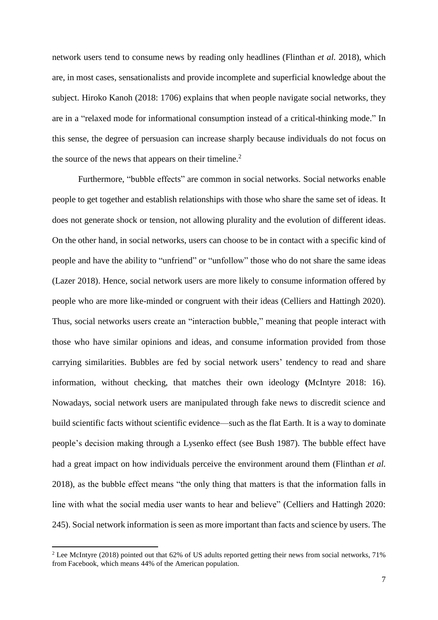network users tend to consume news by reading only headlines (Flinthan *et al.* 2018), which are, in most cases, sensationalists and provide incomplete and superficial knowledge about the subject. Hiroko Kanoh (2018: 1706) explains that when people navigate social networks, they are in a "relaxed mode for informational consumption instead of a critical-thinking mode." In this sense, the degree of persuasion can increase sharply because individuals do not focus on the source of the news that appears on their timeline.<sup>2</sup>

Furthermore, "bubble effects" are common in social networks. Social networks enable people to get together and establish relationships with those who share the same set of ideas. It does not generate shock or tension, not allowing plurality and the evolution of different ideas. On the other hand, in social networks, users can choose to be in contact with a specific kind of people and have the ability to "unfriend" or "unfollow" those who do not share the same ideas (Lazer 2018). Hence, social network users are more likely to consume information offered by people who are more like-minded or congruent with their ideas (Celliers and Hattingh 2020). Thus, social networks users create an "interaction bubble," meaning that people interact with those who have similar opinions and ideas, and consume information provided from those carrying similarities. Bubbles are fed by social network users' tendency to read and share information, without checking, that matches their own ideology **(**McIntyre 2018: 16). Nowadays, social network users are manipulated through fake news to discredit science and build scientific facts without scientific evidence—such as the flat Earth. It is a way to dominate people's decision making through a Lysenko effect (see Bush 1987). The bubble effect have had a great impact on how individuals perceive the environment around them (Flinthan *et al.* 2018), as the bubble effect means "the only thing that matters is that the information falls in line with what the social media user wants to hear and believe" (Celliers and Hattingh 2020: 245). Social network information is seen as more important than facts and science by users. The

 $\overline{\phantom{a}}$ 

<sup>&</sup>lt;sup>2</sup> Lee McIntyre (2018) pointed out that 62% of US adults reported getting their news from social networks, 71% from Facebook, which means 44% of the American population.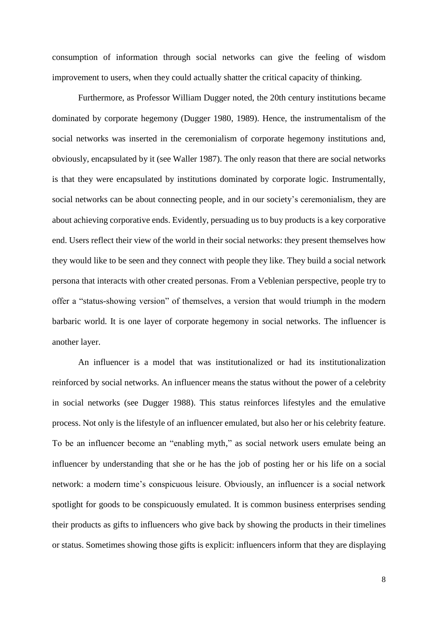consumption of information through social networks can give the feeling of wisdom improvement to users, when they could actually shatter the critical capacity of thinking.

Furthermore, as Professor William Dugger noted, the 20th century institutions became dominated by corporate hegemony (Dugger 1980, 1989). Hence, the instrumentalism of the social networks was inserted in the ceremonialism of corporate hegemony institutions and, obviously, encapsulated by it (see Waller 1987). The only reason that there are social networks is that they were encapsulated by institutions dominated by corporate logic. Instrumentally, social networks can be about connecting people, and in our society's ceremonialism, they are about achieving corporative ends. Evidently, persuading us to buy products is a key corporative end. Users reflect their view of the world in their social networks: they present themselves how they would like to be seen and they connect with people they like. They build a social network persona that interacts with other created personas. From a Veblenian perspective, people try to offer a "status-showing version" of themselves, a version that would triumph in the modern barbaric world. It is one layer of corporate hegemony in social networks. The influencer is another layer.

An influencer is a model that was institutionalized or had its institutionalization reinforced by social networks. An influencer means the status without the power of a celebrity in social networks (see Dugger 1988). This status reinforces lifestyles and the emulative process. Not only is the lifestyle of an influencer emulated, but also her or his celebrity feature. To be an influencer become an "enabling myth," as social network users emulate being an influencer by understanding that she or he has the job of posting her or his life on a social network: a modern time's conspicuous leisure. Obviously, an influencer is a social network spotlight for goods to be conspicuously emulated. It is common business enterprises sending their products as gifts to influencers who give back by showing the products in their timelines or status. Sometimes showing those gifts is explicit: influencers inform that they are displaying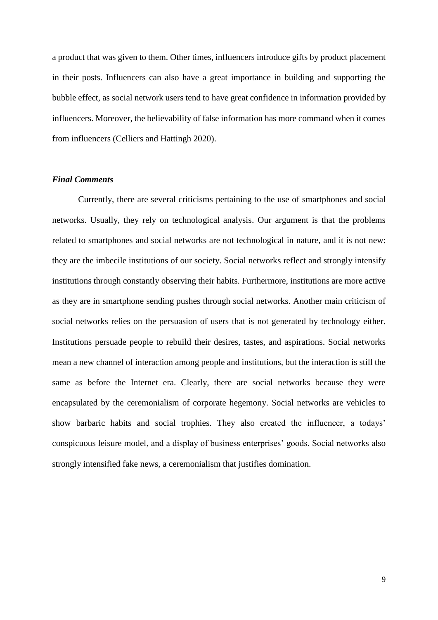a product that was given to them. Other times, influencers introduce gifts by product placement in their posts. Influencers can also have a great importance in building and supporting the bubble effect, as social network users tend to have great confidence in information provided by influencers. Moreover, the believability of false information has more command when it comes from influencers (Celliers and Hattingh 2020).

## *Final Comments*

Currently, there are several criticisms pertaining to the use of smartphones and social networks. Usually, they rely on technological analysis. Our argument is that the problems related to smartphones and social networks are not technological in nature, and it is not new: they are the imbecile institutions of our society. Social networks reflect and strongly intensify institutions through constantly observing their habits. Furthermore, institutions are more active as they are in smartphone sending pushes through social networks. Another main criticism of social networks relies on the persuasion of users that is not generated by technology either. Institutions persuade people to rebuild their desires, tastes, and aspirations. Social networks mean a new channel of interaction among people and institutions, but the interaction is still the same as before the Internet era. Clearly, there are social networks because they were encapsulated by the ceremonialism of corporate hegemony. Social networks are vehicles to show barbaric habits and social trophies. They also created the influencer, a todays' conspicuous leisure model, and a display of business enterprises' goods. Social networks also strongly intensified fake news, a ceremonialism that justifies domination.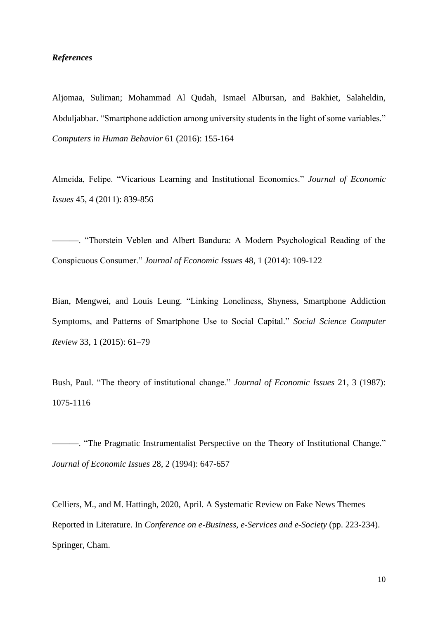## *References*

Aljomaa, Suliman; Mohammad Al Qudah, Ismael Albursan, and Bakhiet, Salaheldin, Abduljabbar. "Smartphone addiction among university students in the light of some variables." *Computers in Human Behavior* 61 (2016): 155-164

Almeida, Felipe. "Vicarious Learning and Institutional Economics." *Journal of Economic Issues* 45, 4 (2011): 839-856

———. "Thorstein Veblen and Albert Bandura: A Modern Psychological Reading of the Conspicuous Consumer." *Journal of Economic Issues* 48, 1 (2014): 109-122

Bian, Mengwei, and Louis Leung. "Linking Loneliness, Shyness, Smartphone Addiction Symptoms, and Patterns of Smartphone Use to Social Capital." *Social Science Computer Review* 33, 1 (2015): 61–79

Bush, Paul. "The theory of institutional change." *Journal of Economic Issues* 21, 3 (1987): 1075-1116

———. "The Pragmatic Instrumentalist Perspective on the Theory of Institutional Change." *Journal of Economic Issues* 28, 2 (1994): 647-657

Celliers, M., and M. Hattingh, 2020, April. A Systematic Review on Fake News Themes Reported in Literature. In *Conference on e-Business, e-Services and e-Society* (pp. 223-234). Springer, Cham.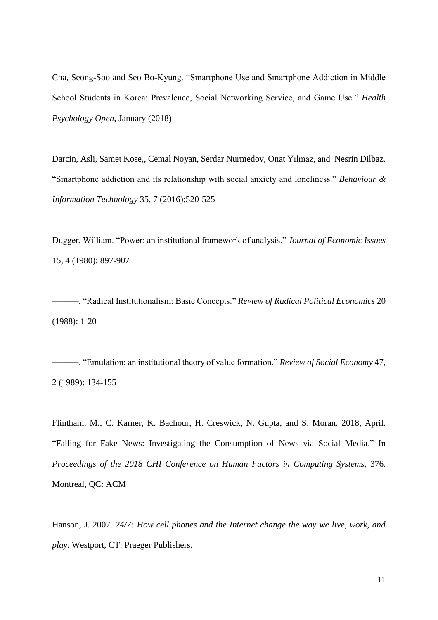Cha, Seong-Soo and Seo Bo-Kyung. "Smartphone Use and Smartphone Addiction in Middle School Students in Korea: Prevalence, Social Networking Service, and Game Use." *Health Psychology Open*, January (2018)

Darcin, Asli, Samet Kose,, Cemal Noyan, Serdar Nurmedov, Onat Yılmaz, and Nesrin Dilbaz. "Smartphone addiction and its relationship with social anxiety and loneliness." *Behaviour & Information Technology* 35, 7 (2016):520-525

Dugger, William. "Power: an institutional framework of analysis." *Journal of Economic Issues* 15, 4 (1980): 897-907

———. "Radical Institutionalism: Basic Concepts." *Review of Radical Political Economics* 20 (1988): 1-20

———. "Emulation: an institutional theory of value formation." *Review of Social Economy* 47, 2 (1989): 134-155

Flintham, M., C. Karner, K. Bachour, H. Creswick, N. Gupta, and S. Moran. 2018, April. "Falling for Fake News: Investigating the Consumption of News via Social Media." In *Proceedings of the 2018 CHI Conference on Human Factors in Computing Systems*, 376. Montreal, QC: ACM

Hanson, J. 2007. *24/7: How cell phones and the Internet change the way we live, work, and play*. Westport, CT: Praeger Publishers.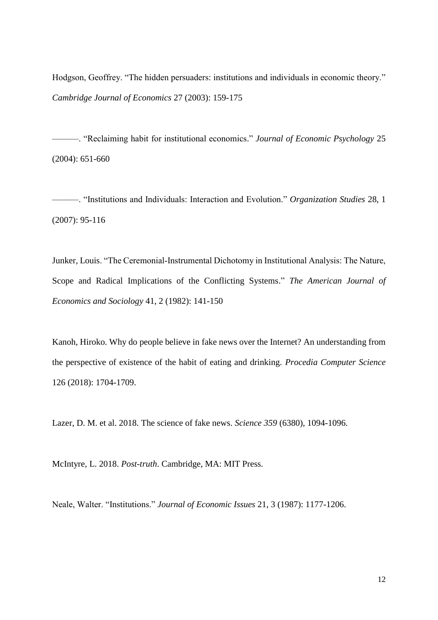Hodgson, Geoffrey. "The hidden persuaders: institutions and individuals in economic theory." *Cambridge Journal of Economics* 27 (2003): 159-175

———. "Reclaiming habit for institutional economics." *Journal of Economic Psychology* 25 (2004): 651-660

———. "Institutions and Individuals: Interaction and Evolution." *Organization Studies* 28, 1 (2007): 95-116

Junker, Louis. "The Ceremonial‐Instrumental Dichotomy in Institutional Analysis: The Nature, Scope and Radical Implications of the Conflicting Systems." *The American Journal of Economics and Sociology* 41, 2 (1982): 141-150

Kanoh, Hiroko. Why do people believe in fake news over the Internet? An understanding from the perspective of existence of the habit of eating and drinking. *Procedia Computer Science* 126 (2018): 1704-1709.

Lazer, D. M. et al. 2018. The science of fake news. *Science 359* (6380), 1094-1096.

McIntyre, L. 2018. *Post-truth*. Cambridge, MA: MIT Press.

Neale, Walter. "Institutions." *Journal of Economic Issues* 21, 3 (1987): 1177-1206.